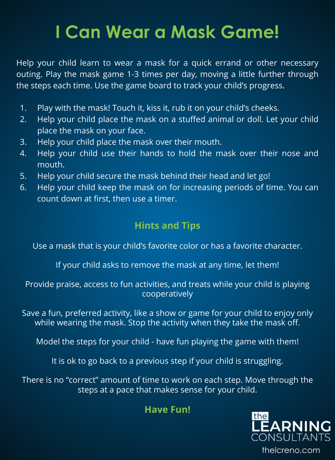## **I Can Wear a Mask Game!**

Help your child learn to wear a mask for a quick errand or other necessary outing. Play the mask game 1-3 times per day, moving a little further through the steps each time. Use the game board to track your child's progress.

- 1. Play with the mask! Touch it, kiss it, rub it on your child's cheeks.
- 2. Help your child place the mask on a stuffed animal or doll. Let your child place the mask on your face.
- 3. Help your child place the mask over their mouth.
- 4. Help your child use their hands to hold the mask over their nose and mouth.
- 5. Help your child secure the mask behind their head and let go!
- 6. Help your child keep the mask on for increasing periods of time. You can count down at first, then use a timer.

## **Hints and Tips**

Use a mask that is your child's favorite color or has a favorite character.

If your child asks to remove the mask at any time, let them!

Provide praise, access to fun activities, and treats while your child is playing cooperatively

Save a fun, preferred activity, like a show or game for your child to enjoy only while wearing the mask. Stop the activity when they take the mask off.

Model the steps for your child - have fun playing the game with them!

It is ok to go back to a previous step if your child is struggling.

There is no "correct" amount of time to work on each step. Move through the steps at a pace that makes sense for your child.

## **Have Fun!**